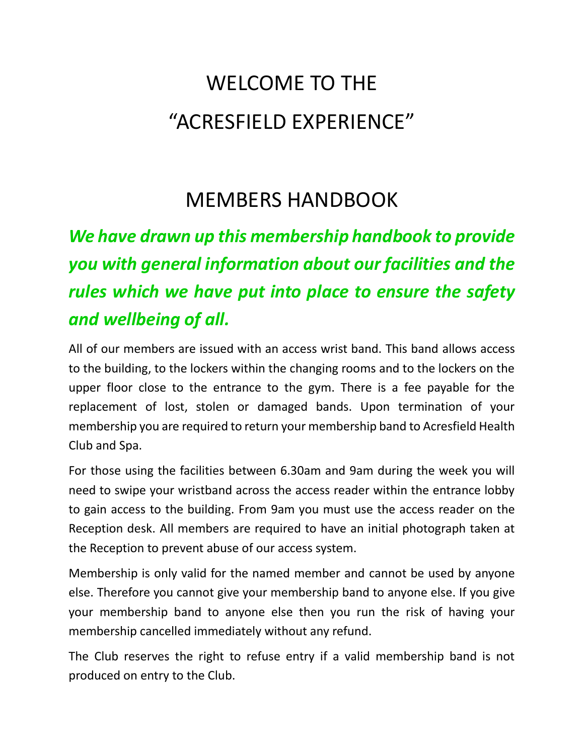# WELCOME TO THE "ACRESFIELD EXPERIENCE"

## MEMBERS HANDBOOK

## *We have drawn up this membership handbook to provide you with general information about our facilities and the rules which we have put into place to ensure the safety and wellbeing of all.*

All of our members are issued with an access wrist band. This band allows access to the building, to the lockers within the changing rooms and to the lockers on the upper floor close to the entrance to the gym. There is a fee payable for the replacement of lost, stolen or damaged bands. Upon termination of your membership you are required to return your membership band to Acresfield Health Club and Spa.

For those using the facilities between 6.30am and 9am during the week you will need to swipe your wristband across the access reader within the entrance lobby to gain access to the building. From 9am you must use the access reader on the Reception desk. All members are required to have an initial photograph taken at the Reception to prevent abuse of our access system.

Membership is only valid for the named member and cannot be used by anyone else. Therefore you cannot give your membership band to anyone else. If you give your membership band to anyone else then you run the risk of having your membership cancelled immediately without any refund.

The Club reserves the right to refuse entry if a valid membership band is not produced on entry to the Club.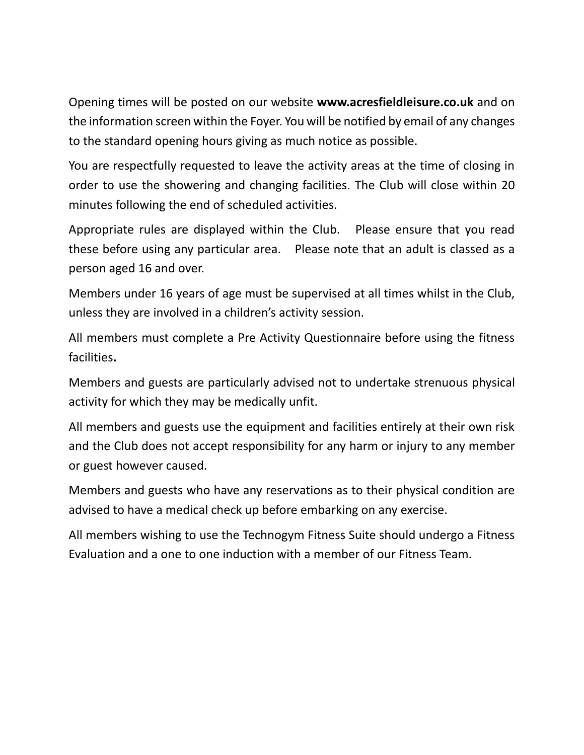Opening times will be posted on our website **www.acresfieldleisure.co.uk** and on the information screen within the Foyer. You will be notified by email of any changes to the standard opening hours giving as much notice as possible.

You are respectfully requested to leave the activity areas at the time of closing in order to use the showering and changing facilities. The Club will close within 20 minutes following the end of scheduled activities.

Appropriate rules are displayed within the Club. Please ensure that you read these before using any particular area. Please note that an adult is classed as a person aged 16 and over.

Members under 16 years of age must be supervised at all times whilst in the Club, unless they are involved in a children's activity session.

All members must complete a Pre Activity Questionnaire before using the fitness facilities**.**

Members and guests are particularly advised not to undertake strenuous physical activity for which they may be medically unfit.

All members and guests use the equipment and facilities entirely at their own risk and the Club does not accept responsibility for any harm or injury to any member or guest however caused.

Members and guests who have any reservations as to their physical condition are advised to have a medical check up before embarking on any exercise.

All members wishing to use the Technogym Fitness Suite should undergo a Fitness Evaluation and a one to one induction with a member of our Fitness Team.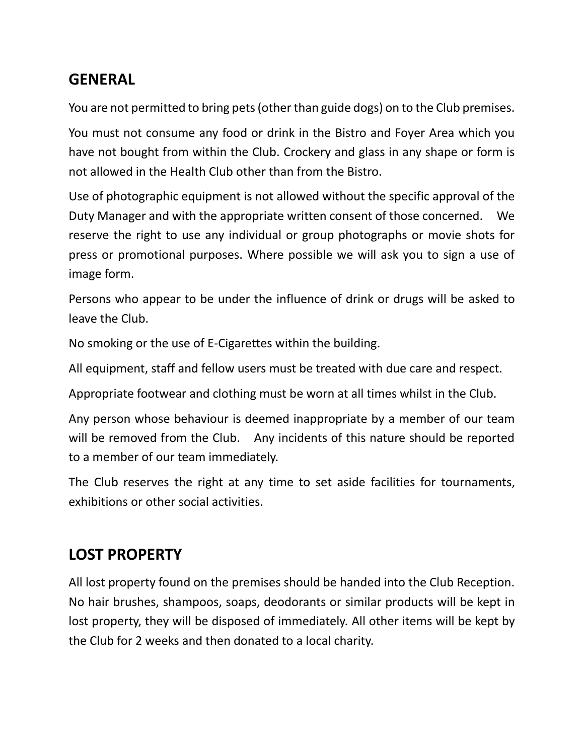## **GENERAL**

You are not permitted to bring pets (other than guide dogs) on to the Club premises.

You must not consume any food or drink in the Bistro and Foyer Area which you have not bought from within the Club. Crockery and glass in any shape or form is not allowed in the Health Club other than from the Bistro.

Use of photographic equipment is not allowed without the specific approval of the Duty Manager and with the appropriate written consent of those concerned. We reserve the right to use any individual or group photographs or movie shots for press or promotional purposes. Where possible we will ask you to sign a use of image form.

Persons who appear to be under the influence of drink or drugs will be asked to leave the Club.

No smoking or the use of E-Cigarettes within the building.

All equipment, staff and fellow users must be treated with due care and respect.

Appropriate footwear and clothing must be worn at all times whilst in the Club.

Any person whose behaviour is deemed inappropriate by a member of our team will be removed from the Club. Any incidents of this nature should be reported to a member of our team immediately.

The Club reserves the right at any time to set aside facilities for tournaments, exhibitions or other social activities.

## **LOST PROPERTY**

All lost property found on the premises should be handed into the Club Reception. No hair brushes, shampoos, soaps, deodorants or similar products will be kept in lost property, they will be disposed of immediately. All other items will be kept by the Club for 2 weeks and then donated to a local charity.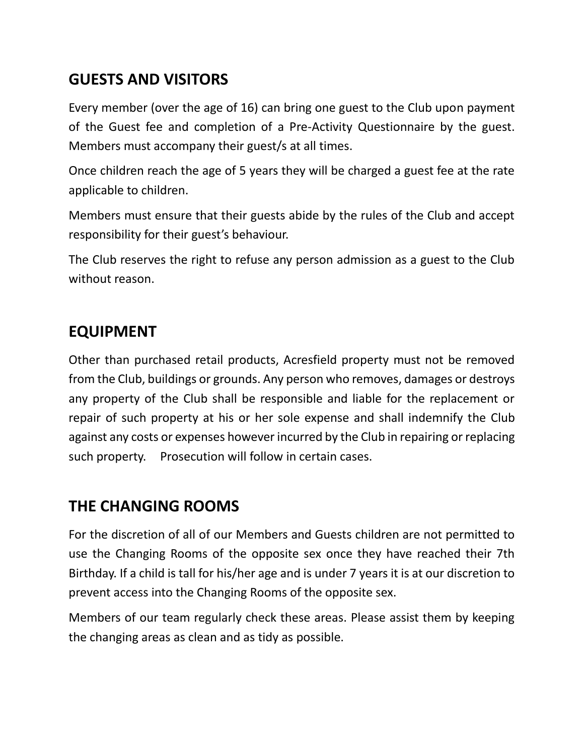## **GUESTS AND VISITORS**

Every member (over the age of 16) can bring one guest to the Club upon payment of the Guest fee and completion of a Pre-Activity Questionnaire by the guest. Members must accompany their guest/s at all times.

Once children reach the age of 5 years they will be charged a guest fee at the rate applicable to children.

Members must ensure that their guests abide by the rules of the Club and accept responsibility for their guest's behaviour.

The Club reserves the right to refuse any person admission as a guest to the Club without reason.

### **EQUIPMENT**

Other than purchased retail products, Acresfield property must not be removed from the Club, buildings or grounds. Any person who removes, damages or destroys any property of the Club shall be responsible and liable for the replacement or repair of such property at his or her sole expense and shall indemnify the Club against any costs or expenses however incurred by the Club in repairing or replacing such property. Prosecution will follow in certain cases.

### **THE CHANGING ROOMS**

For the discretion of all of our Members and Guests children are not permitted to use the Changing Rooms of the opposite sex once they have reached their 7th Birthday. If a child is tall for his/her age and is under 7 years it is at our discretion to prevent access into the Changing Rooms of the opposite sex.

Members of our team regularly check these areas. Please assist them by keeping the changing areas as clean and as tidy as possible.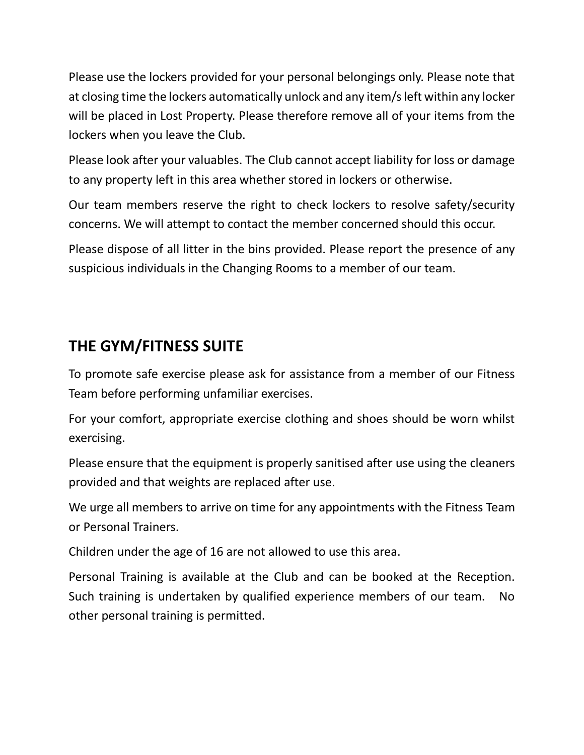Please use the lockers provided for your personal belongings only. Please note that at closing time the lockers automatically unlock and any item/s left within any locker will be placed in Lost Property. Please therefore remove all of your items from the lockers when you leave the Club.

Please look after your valuables. The Club cannot accept liability for loss or damage to any property left in this area whether stored in lockers or otherwise.

Our team members reserve the right to check lockers to resolve safety/security concerns. We will attempt to contact the member concerned should this occur.

Please dispose of all litter in the bins provided. Please report the presence of any suspicious individuals in the Changing Rooms to a member of our team.

## **THE GYM/FITNESS SUITE**

To promote safe exercise please ask for assistance from a member of our Fitness Team before performing unfamiliar exercises.

For your comfort, appropriate exercise clothing and shoes should be worn whilst exercising.

Please ensure that the equipment is properly sanitised after use using the cleaners provided and that weights are replaced after use.

We urge all members to arrive on time for any appointments with the Fitness Team or Personal Trainers.

Children under the age of 16 are not allowed to use this area.

Personal Training is available at the Club and can be booked at the Reception. Such training is undertaken by qualified experience members of our team. No other personal training is permitted.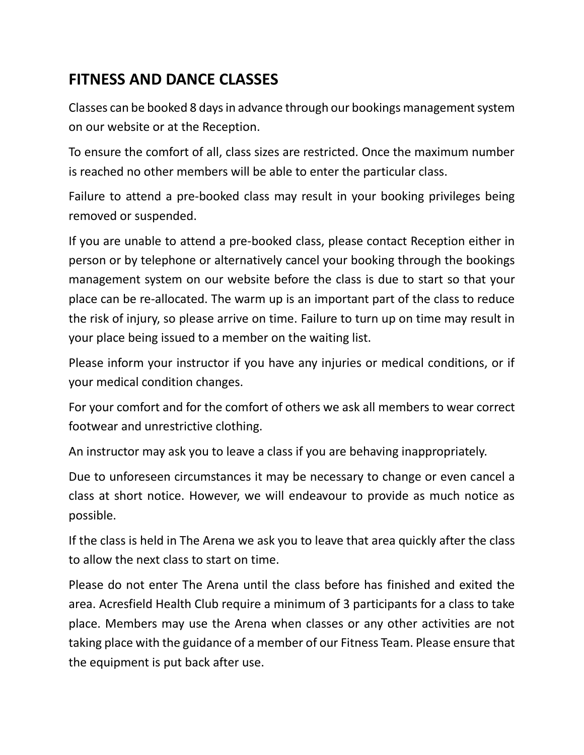## **FITNESS AND DANCE CLASSES**

Classes can be booked 8 days in advance through our bookings management system on our website or at the Reception.

To ensure the comfort of all, class sizes are restricted. Once the maximum number is reached no other members will be able to enter the particular class.

Failure to attend a pre-booked class may result in your booking privileges being removed or suspended.

If you are unable to attend a pre-booked class, please contact Reception either in person or by telephone or alternatively cancel your booking through the bookings management system on our website before the class is due to start so that your place can be re-allocated. The warm up is an important part of the class to reduce the risk of injury, so please arrive on time. Failure to turn up on time may result in your place being issued to a member on the waiting list.

Please inform your instructor if you have any injuries or medical conditions, or if your medical condition changes.

For your comfort and for the comfort of others we ask all members to wear correct footwear and unrestrictive clothing.

An instructor may ask you to leave a class if you are behaving inappropriately.

Due to unforeseen circumstances it may be necessary to change or even cancel a class at short notice. However, we will endeavour to provide as much notice as possible.

If the class is held in The Arena we ask you to leave that area quickly after the class to allow the next class to start on time.

Please do not enter The Arena until the class before has finished and exited the area. Acresfield Health Club require a minimum of 3 participants for a class to take place. Members may use the Arena when classes or any other activities are not taking place with the guidance of a member of our Fitness Team. Please ensure that the equipment is put back after use.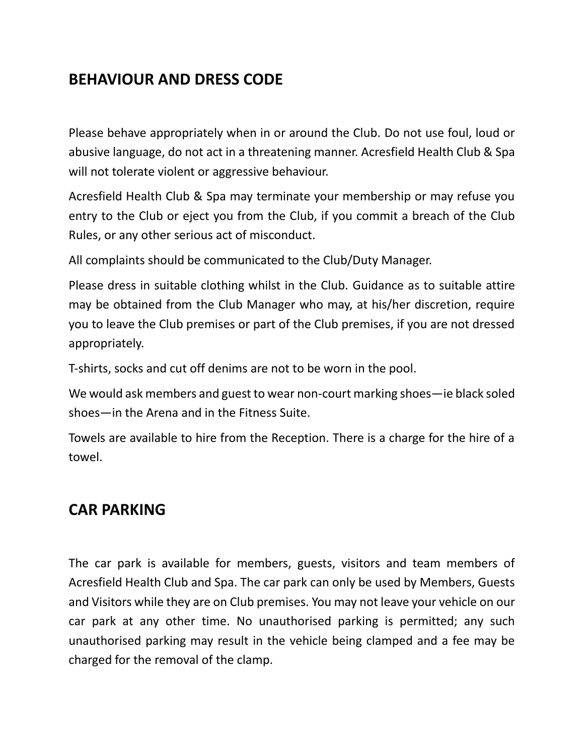## **BEHAVIOUR AND DRESS CODE**

Please behave appropriately when in or around the Club. Do not use foul, loud or abusive language, do not act in a threatening manner. Acresfield Health Club & Spa will not tolerate violent or aggressive behaviour.

Acresfield Health Club & Spa may terminate your membership or may refuse you entry to the Club or eject you from the Club, if you commit a breach of the Club Rules, or any other serious act of misconduct.

All complaints should be communicated to the Club/Duty Manager.

Please dress in suitable clothing whilst in the Club. Guidance as to suitable attire may be obtained from the Club Manager who may, at his/her discretion, require you to leave the Club premises or part of the Club premises, if you are not dressed appropriately.

T-shirts, socks and cut off denims are not to be worn in the pool.

We would ask members and guest to wear non-court marking shoes—ie black soled shoes—in the Arena and in the Fitness Suite.

Towels are available to hire from the Reception. There is a charge for the hire of a towel.

#### **CAR PARKING**

The car park is available for members, guests, visitors and team members of Acresfield Health Club and Spa. The car park can only be used by Members, Guests and Visitors while they are on Club premises. You may not leave your vehicle on our car park at any other time. No unauthorised parking is permitted; any such unauthorised parking may result in the vehicle being clamped and a fee may be charged for the removal of the clamp.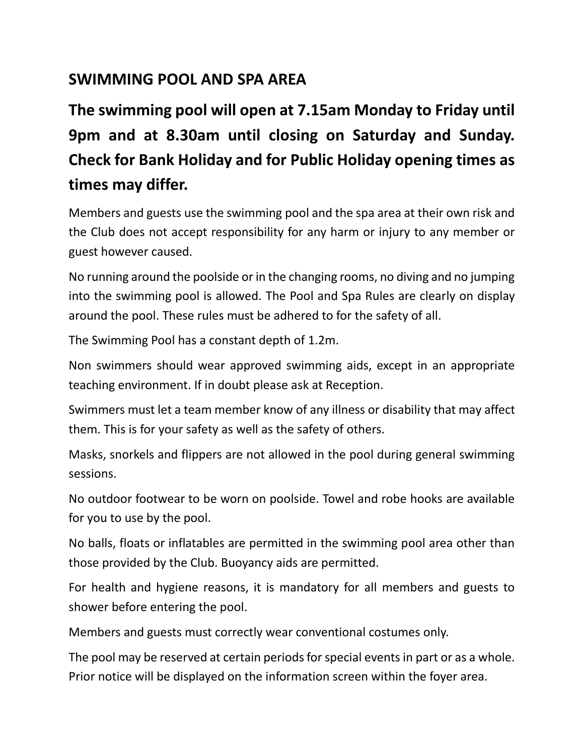## **SWIMMING POOL AND SPA AREA**

**The swimming pool will open at 7.15am Monday to Friday until 9pm and at 8.30am until closing on Saturday and Sunday. Check for Bank Holiday and for Public Holiday opening times as times may differ.**

Members and guests use the swimming pool and the spa area at their own risk and the Club does not accept responsibility for any harm or injury to any member or guest however caused.

No running around the poolside or in the changing rooms, no diving and no jumping into the swimming pool is allowed. The Pool and Spa Rules are clearly on display around the pool. These rules must be adhered to for the safety of all.

The Swimming Pool has a constant depth of 1.2m.

Non swimmers should wear approved swimming aids, except in an appropriate teaching environment. If in doubt please ask at Reception.

Swimmers must let a team member know of any illness or disability that may affect them. This is for your safety as well as the safety of others.

Masks, snorkels and flippers are not allowed in the pool during general swimming sessions.

No outdoor footwear to be worn on poolside. Towel and robe hooks are available for you to use by the pool.

No balls, floats or inflatables are permitted in the swimming pool area other than those provided by the Club. Buoyancy aids are permitted.

For health and hygiene reasons, it is mandatory for all members and guests to shower before entering the pool.

Members and guests must correctly wear conventional costumes only.

The pool may be reserved at certain periods for special events in part or as a whole. Prior notice will be displayed on the information screen within the foyer area.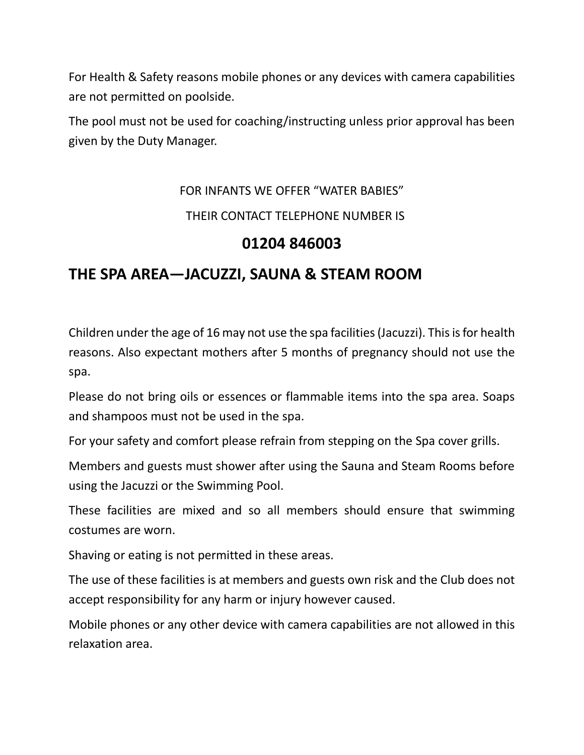For Health & Safety reasons mobile phones or any devices with camera capabilities are not permitted on poolside.

The pool must not be used for coaching/instructing unless prior approval has been given by the Duty Manager.

## FOR INFANTS WE OFFER "WATER BABIES"

#### THEIR CONTACT TELEPHONE NUMBER IS

#### **01204 846003**

### **THE SPA AREA—JACUZZI, SAUNA & STEAM ROOM**

Children under the age of 16 may not use the spa facilities (Jacuzzi). This is for health reasons. Also expectant mothers after 5 months of pregnancy should not use the spa.

Please do not bring oils or essences or flammable items into the spa area. Soaps and shampoos must not be used in the spa.

For your safety and comfort please refrain from stepping on the Spa cover grills.

Members and guests must shower after using the Sauna and Steam Rooms before using the Jacuzzi or the Swimming Pool.

These facilities are mixed and so all members should ensure that swimming costumes are worn.

Shaving or eating is not permitted in these areas.

The use of these facilities is at members and guests own risk and the Club does not accept responsibility for any harm or injury however caused.

Mobile phones or any other device with camera capabilities are not allowed in this relaxation area.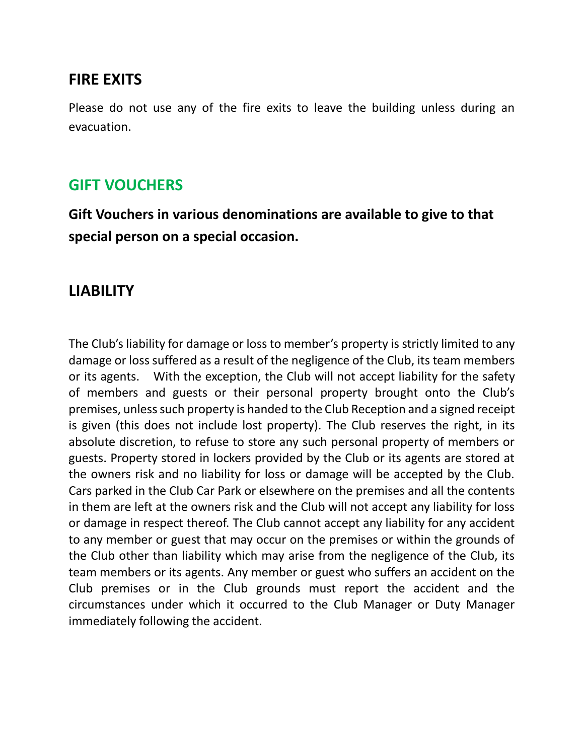#### **FIRE EXITS**

Please do not use any of the fire exits to leave the building unless during an evacuation.

### **GIFT VOUCHERS**

**Gift Vouchers in various denominations are available to give to that special person on a special occasion.**

### **LIABILITY**

The Club's liability for damage or loss to member's property is strictly limited to any damage or loss suffered as a result of the negligence of the Club, its team members or its agents. With the exception, the Club will not accept liability for the safety of members and guests or their personal property brought onto the Club's premises, unless such property is handed to the Club Reception and a signed receipt is given (this does not include lost property). The Club reserves the right, in its absolute discretion, to refuse to store any such personal property of members or guests. Property stored in lockers provided by the Club or its agents are stored at the owners risk and no liability for loss or damage will be accepted by the Club. Cars parked in the Club Car Park or elsewhere on the premises and all the contents in them are left at the owners risk and the Club will not accept any liability for loss or damage in respect thereof. The Club cannot accept any liability for any accident to any member or guest that may occur on the premises or within the grounds of the Club other than liability which may arise from the negligence of the Club, its team members or its agents. Any member or guest who suffers an accident on the Club premises or in the Club grounds must report the accident and the circumstances under which it occurred to the Club Manager or Duty Manager immediately following the accident.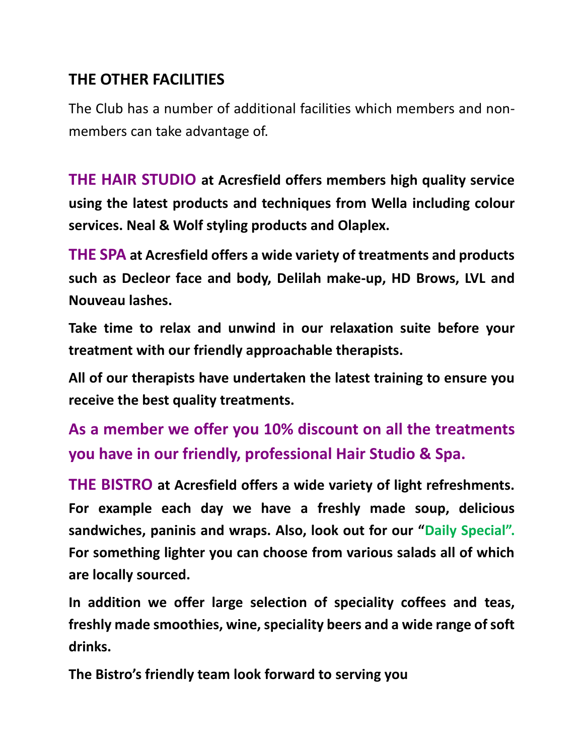## **THE OTHER FACILITIES**

The Club has a number of additional facilities which members and nonmembers can take advantage of.

**THE HAIR STUDIO at Acresfield offers members high quality service using the latest products and techniques from Wella including colour services. Neal & Wolf styling products and Olaplex.**

**THE SPA at Acresfield offers a wide variety of treatments and products such as Decleor face and body, Delilah make-up, HD Brows, LVL and Nouveau lashes.**

**Take time to relax and unwind in our relaxation suite before your treatment with our friendly approachable therapists.**

**All of our therapists have undertaken the latest training to ensure you receive the best quality treatments.** 

**As a member we offer you 10% discount on all the treatments you have in our friendly, professional Hair Studio & Spa.**

**THE BISTRO at Acresfield offers a wide variety of light refreshments. For example each day we have a freshly made soup, delicious sandwiches, paninis and wraps. Also, look out for our "Daily Special". For something lighter you can choose from various salads all of which are locally sourced.**

**In addition we offer large selection of speciality coffees and teas, freshly made smoothies, wine, speciality beers and a wide range of soft drinks.**

**The Bistro's friendly team look forward to serving you**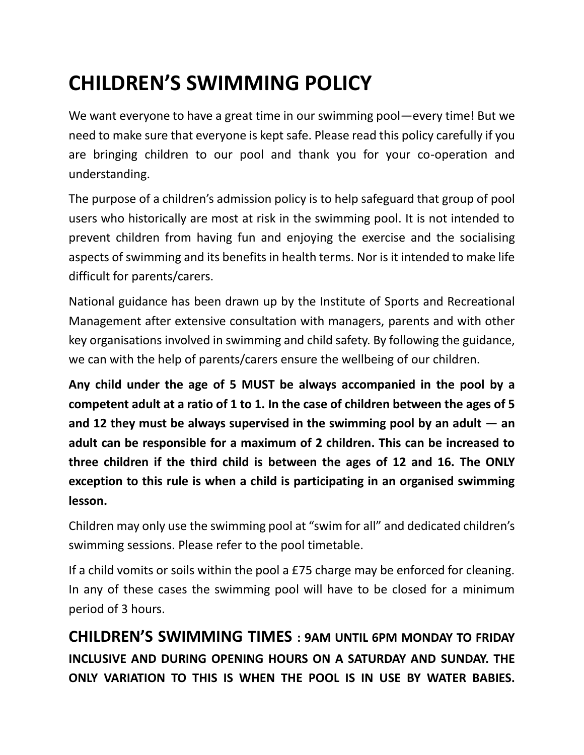## **CHILDREN'S SWIMMING POLICY**

We want everyone to have a great time in our swimming pool—every time! But we need to make sure that everyone is kept safe. Please read this policy carefully if you are bringing children to our pool and thank you for your co-operation and understanding.

The purpose of a children's admission policy is to help safeguard that group of pool users who historically are most at risk in the swimming pool. It is not intended to prevent children from having fun and enjoying the exercise and the socialising aspects of swimming and its benefits in health terms. Nor is it intended to make life difficult for parents/carers.

National guidance has been drawn up by the Institute of Sports and Recreational Management after extensive consultation with managers, parents and with other key organisations involved in swimming and child safety. By following the guidance, we can with the help of parents/carers ensure the wellbeing of our children.

**Any child under the age of 5 MUST be always accompanied in the pool by a competent adult at a ratio of 1 to 1. In the case of children between the ages of 5 and 12 they must be always supervised in the swimming pool by an adult — an adult can be responsible for a maximum of 2 children. This can be increased to three children if the third child is between the ages of 12 and 16. The ONLY exception to this rule is when a child is participating in an organised swimming lesson.**

Children may only use the swimming pool at "swim for all" and dedicated children's swimming sessions. Please refer to the pool timetable.

If a child vomits or soils within the pool a £75 charge may be enforced for cleaning. In any of these cases the swimming pool will have to be closed for a minimum period of 3 hours.

**CHILDREN'S SWIMMING TIMES : 9AM UNTIL 6PM MONDAY TO FRIDAY INCLUSIVE AND DURING OPENING HOURS ON A SATURDAY AND SUNDAY. THE ONLY VARIATION TO THIS IS WHEN THE POOL IS IN USE BY WATER BABIES.**